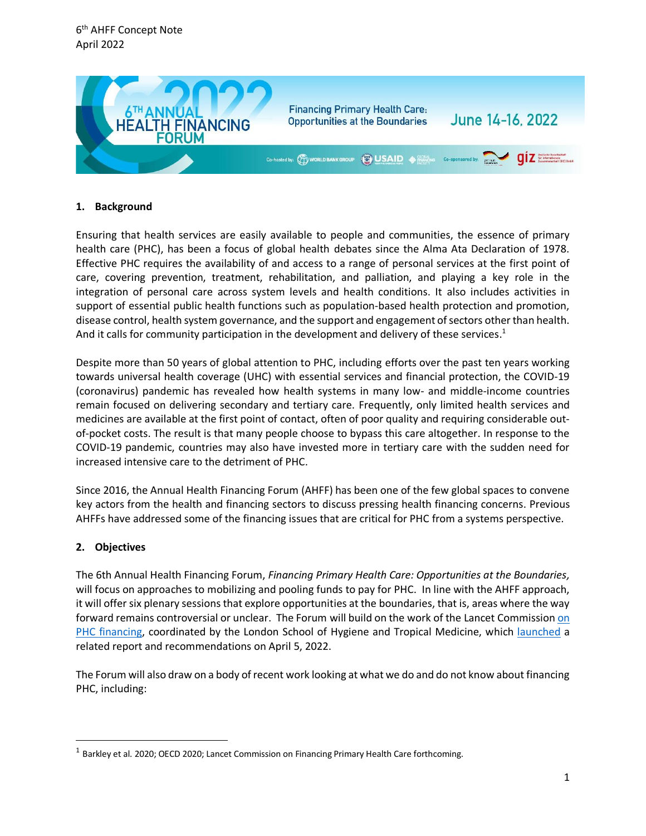

# **1. Background**

Ensuring that health services are easily available to people and communities, the essence of primary health care (PHC), has been a focus of global health debates since the Alma Ata Declaration of 1978. Effective PHC requires the availability of and access to a range of personal services at the first point of care, covering prevention, treatment, rehabilitation, and palliation, and playing a key role in the integration of personal care across system levels and health conditions. It also includes activities in support of essential public health functions such as population-based health protection and promotion, disease control, health system governance, and the support and engagement of sectors other than health. And it calls for community participation in the development and delivery of these services.<sup>1</sup>

Despite more than 50 years of global attention to PHC, including efforts over the past ten years working towards universal health coverage (UHC) with essential services and financial protection, the COVID-19 (coronavirus) pandemic has revealed how health systems in many low- and middle-income countries remain focused on delivering secondary and tertiary care. Frequently, only limited health services and medicines are available at the first point of contact, often of poor quality and requiring considerable outof-pocket costs. The result is that many people choose to bypass this care altogether. In response to the COVID-19 pandemic, countries may also have invested more in tertiary care with the sudden need for increased intensive care to the detriment of PHC.

Since 2016, the Annual Health Financing Forum (AHFF) has been one of the few global spaces to convene key actors from the health and financing sectors to discuss pressing health financing concerns. Previous AHFFs have addressed some of the financing issues that are critical for PHC from a systems perspective.

#### **2. Objectives**

The 6th Annual Health Financing Forum, *Financing Primary Health Care: Opportunities at the Boundaries,* will focus on approaches to mobilizing and pooling funds to pay for PHC. In line with the AHFF approach, it will offer six plenary sessions that explore opportunities at the boundaries, that is, areas where the way forward remains controversial or unclear. The Forum will build on the work of the Lancet Commissio[n on](https://www.thelancet.com/journals/langlo/article/PIIS2214-109X(21)00510-6/fulltext)  [PHC financing,](https://www.thelancet.com/journals/langlo/article/PIIS2214-109X(21)00510-6/fulltext) coordinated by the London School of Hygiene and Tropical Medicine, which [launched](https://event.on24.com/eventRegistration/EventLobbyServletV2?target=lobby20V2.jsp&eventid=3693122&sessionid=1&format=fhvideo1&key=DCA9E4D4C6637D8975E20C9763B56396&eventuserid=519943560) a related report and recommendations on April 5, 2022.

The Forum will also draw on a body of recent work looking at what we do and do not know about financing PHC, including:

 $^{\rm 1}$  Barkley et al. 2020; OECD 2020; Lancet Commission on Financing Primary Health Care forthcoming.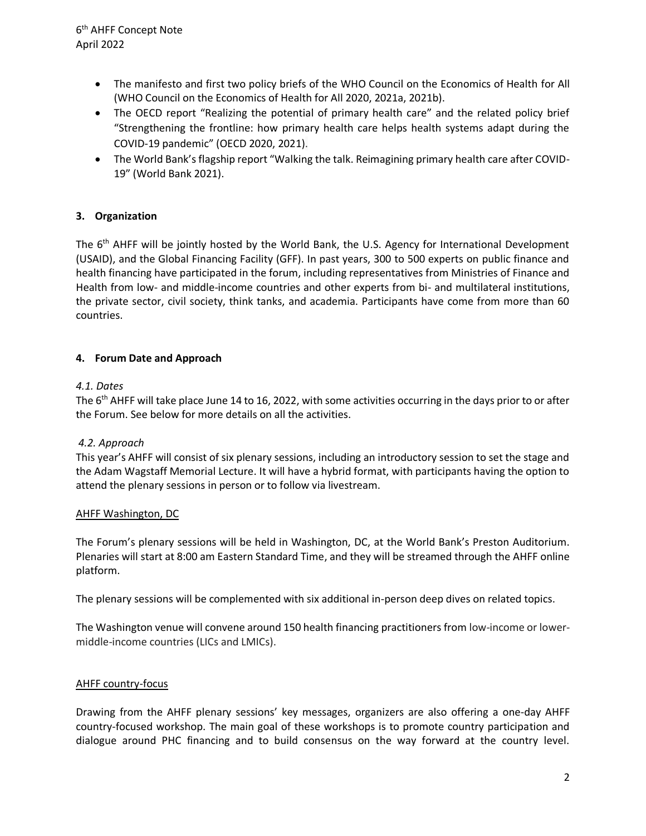- The manifesto and first two policy briefs of the WHO Council on the Economics of Health for All (WHO Council on the Economics of Health for All 2020, 2021a, 2021b).
- The OECD report "Realizing the potential of primary health care" and the related policy brief "Strengthening the frontline: how primary health care helps health systems adapt during the COVID-19 pandemic" (OECD 2020, 2021).
- The World Bank's flagship report "Walking the talk. Reimagining primary health care after COVID-19" (World Bank 2021).

# **3. Organization**

The 6<sup>th</sup> AHFF will be jointly hosted by the World Bank, the U.S. Agency for International Development (USAID), and the Global Financing Facility (GFF). In past years, 300 to 500 experts on public finance and health financing have participated in the forum, including representatives from Ministries of Finance and Health from low- and middle-income countries and other experts from bi- and multilateral institutions, the private sector, civil society, think tanks, and academia. Participants have come from more than 60 countries.

# **4. Forum Date and Approach**

# *4.1. Dates*

The 6<sup>th</sup> AHFF will take place June 14 to 16, 2022, with some activities occurring in the days prior to or after the Forum. See below for more details on all the activities.

# *4.2. Approach*

This year's AHFF will consist of six plenary sessions, including an introductory session to set the stage and the Adam Wagstaff Memorial Lecture. It will have a hybrid format, with participants having the option to attend the plenary sessions in person or to follow via livestream.

#### AHFF Washington, DC

The Forum's plenary sessions will be held in Washington, DC, at the World Bank's Preston Auditorium. Plenaries will start at 8:00 am Eastern Standard Time, and they will be streamed through the AHFF online platform.

The plenary sessions will be complemented with six additional in-person deep dives on related topics.

The Washington venue will convene around 150 health financing practitioners from low-income or lowermiddle-income countries (LICs and LMICs).

#### AHFF country-focus

Drawing from the AHFF plenary sessions' key messages, organizers are also offering a one-day AHFF country-focused workshop. The main goal of these workshops is to promote country participation and dialogue around PHC financing and to build consensus on the way forward at the country level.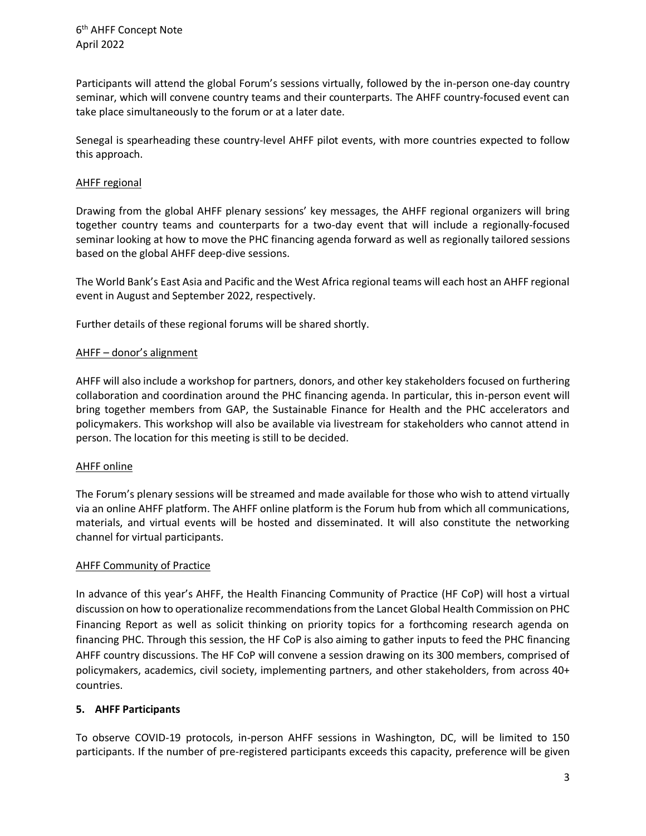Participants will attend the global Forum's sessions virtually, followed by the in-person one-day country seminar, which will convene country teams and their counterparts. The AHFF country-focused event can take place simultaneously to the forum or at a later date.

Senegal is spearheading these country-level AHFF pilot events, with more countries expected to follow this approach.

#### AHFF regional

Drawing from the global AHFF plenary sessions' key messages, the AHFF regional organizers will bring together country teams and counterparts for a two-day event that will include a regionally-focused seminar looking at how to move the PHC financing agenda forward as well as regionally tailored sessions based on the global AHFF deep-dive sessions.

The World Bank's East Asia and Pacific and the West Africa regional teams will each host an AHFF regional event in August and September 2022, respectively.

Further details of these regional forums will be shared shortly.

# AHFF – donor's alignment

AHFF will also include a workshop for partners, donors, and other key stakeholders focused on furthering collaboration and coordination around the PHC financing agenda. In particular, this in-person event will bring together members from GAP, the Sustainable Finance for Health and the PHC accelerators and policymakers. This workshop will also be available via livestream for stakeholders who cannot attend in person. The location for this meeting is still to be decided.

#### AHFF online

The Forum's plenary sessions will be streamed and made available for those who wish to attend virtually via an online AHFF platform. The AHFF online platform is the Forum hub from which all communications, materials, and virtual events will be hosted and disseminated. It will also constitute the networking channel for virtual participants.

#### AHFF Community of Practice

In advance of this year's AHFF, the Health Financing Community of Practice (HF CoP) will host a virtual discussion on how to operationalize recommendations from the Lancet Global Health Commission on PHC Financing Report as well as solicit thinking on priority topics for a forthcoming research agenda on financing PHC. Through this session, the HF CoP is also aiming to gather inputs to feed the PHC financing AHFF country discussions. The HF CoP will convene a session drawing on its 300 members, comprised of policymakers, academics, civil society, implementing partners, and other stakeholders, from across 40+ countries.

#### **5. AHFF Participants**

To observe COVID-19 protocols, in-person AHFF sessions in Washington, DC, will be limited to 150 participants. If the number of pre-registered participants exceeds this capacity, preference will be given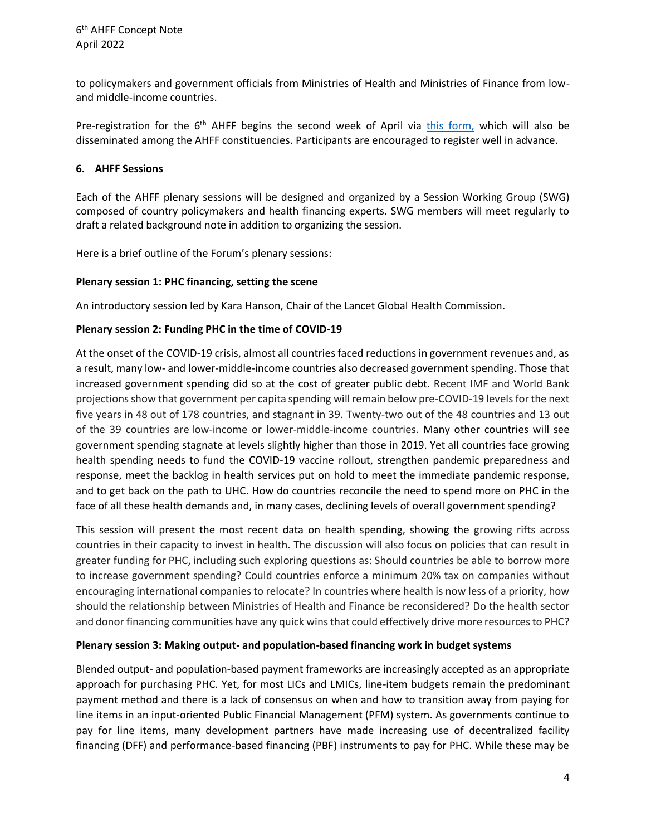to policymakers and government officials from Ministries of Health and Ministries of Finance from lowand middle-income countries.

Pre-registration for the 6<sup>th</sup> AHFF begins the second week of April via [this form,](https://forms.office.com/Pages/ResponsePage.aspx?id=wP6iMWsmZ0y1bieW2PWcNiM1EsUD2cxCoU3BMotAvLlUNDFWSlFKNTcwQ0kyRU9XVDhDNjNZWkkxTi4u) which will also be disseminated among the AHFF constituencies. Participants are encouraged to register well in advance.

#### **6. AHFF Sessions**

Each of the AHFF plenary sessions will be designed and organized by a Session Working Group (SWG) composed of country policymakers and health financing experts. SWG members will meet regularly to draft a related background note in addition to organizing the session.

Here is a brief outline of the Forum's plenary sessions:

# **Plenary session 1: PHC financing, setting the scene**

An introductory session led by Kara Hanson, Chair of the Lancet Global Health Commission.

# **Plenary session 2: Funding PHC in the time of COVID-19**

At the onset of the COVID-19 crisis, almost all countries faced reductions in government revenues and, as a result, many low- and lower-middle-income countries also decreased government spending. Those that increased government spending did so at the cost of greater public debt. Recent IMF and World Bank projections show that government per capita spending will remain below pre-COVID-19 levels for the next five years in 48 out of 178 countries, and stagnant in 39. Twenty-two out of the 48 countries and 13 out of the 39 countries are low-income or lower-middle-income countries. Many other countries will see government spending stagnate at levels slightly higher than those in 2019. Yet all countries face growing health spending needs to fund the COVID-19 vaccine rollout, strengthen pandemic preparedness and response, meet the backlog in health services put on hold to meet the immediate pandemic response, and to get back on the path to UHC. How do countries reconcile the need to spend more on PHC in the face of all these health demands and, in many cases, declining levels of overall government spending?

This session will present the most recent data on health spending, showing the growing rifts across countries in their capacity to invest in health. The discussion will also focus on policies that can result in greater funding for PHC, including such exploring questions as: Should countries be able to borrow more to increase government spending? Could countries enforce a minimum 20% tax on companies without encouraging international companies to relocate? In countries where health is now less of a priority, how should the relationship between Ministries of Health and Finance be reconsidered? Do the health sector and donor financing communities have any quick wins that could effectively drive more resources to PHC?

#### **Plenary session 3: Making output- and population-based financing work in budget systems**

Blended output- and population-based payment frameworks are increasingly accepted as an appropriate approach for purchasing PHC. Yet, for most LICs and LMICs, line-item budgets remain the predominant payment method and there is a lack of consensus on when and how to transition away from paying for line items in an input-oriented Public Financial Management (PFM) system. As governments continue to pay for line items, many development partners have made increasing use of decentralized facility financing (DFF) and performance-based financing (PBF) instruments to pay for PHC. While these may be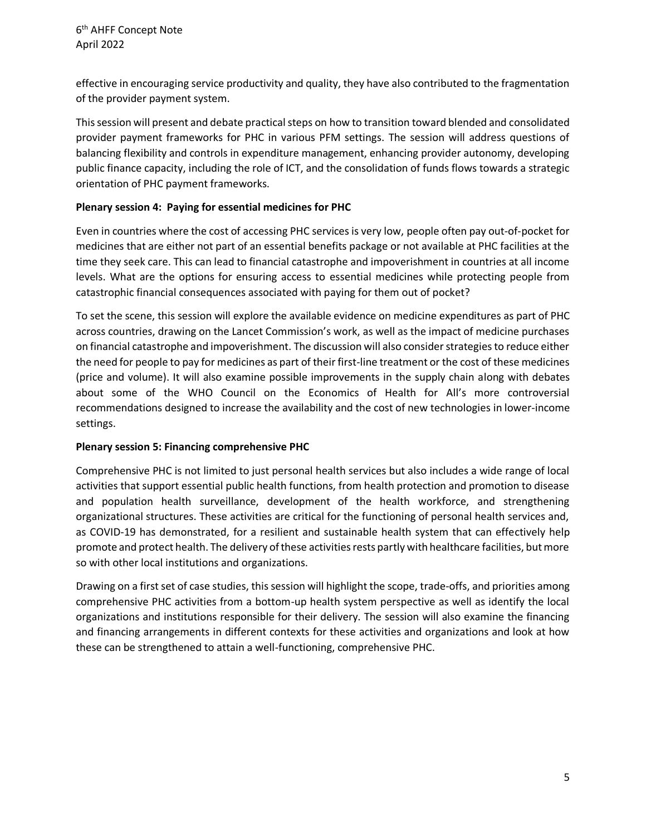effective in encouraging service productivity and quality, they have also contributed to the fragmentation of the provider payment system.

This session will present and debate practical steps on how to transition toward blended and consolidated provider payment frameworks for PHC in various PFM settings. The session will address questions of balancing flexibility and controls in expenditure management, enhancing provider autonomy, developing public finance capacity, including the role of ICT, and the consolidation of funds flows towards a strategic orientation of PHC payment frameworks.

#### **Plenary session 4: Paying for essential medicines for PHC**

Even in countries where the cost of accessing PHC services is very low, people often pay out-of-pocket for medicines that are either not part of an essential benefits package or not available at PHC facilities at the time they seek care. This can lead to financial catastrophe and impoverishment in countries at all income levels. What are the options for ensuring access to essential medicines while protecting people from catastrophic financial consequences associated with paying for them out of pocket?

To set the scene, this session will explore the available evidence on medicine expenditures as part of PHC across countries, drawing on the Lancet Commission's work, as well as the impact of medicine purchases on financial catastrophe and impoverishment. The discussion will also consider strategies to reduce either the need for people to pay for medicines as part of their first-line treatment or the cost of these medicines (price and volume). It will also examine possible improvements in the supply chain along with debates about some of the WHO Council on the Economics of Health for All's more controversial recommendations designed to increase the availability and the cost of new technologies in lower-income settings.

#### **Plenary session 5: Financing comprehensive PHC**

Comprehensive PHC is not limited to just personal health services but also includes a wide range of local activities that support essential public health functions, from health protection and promotion to disease and population health surveillance, development of the health workforce, and strengthening organizational structures. These activities are critical for the functioning of personal health services and, as COVID-19 has demonstrated, for a resilient and sustainable health system that can effectively help promote and protect health. The delivery of these activities rests partly with healthcare facilities, but more so with other local institutions and organizations.

Drawing on a first set of case studies, this session will highlight the scope, trade-offs, and priorities among comprehensive PHC activities from a bottom-up health system perspective as well as identify the local organizations and institutions responsible for their delivery. The session will also examine the financing and financing arrangements in different contexts for these activities and organizations and look at how these can be strengthened to attain a well-functioning, comprehensive PHC.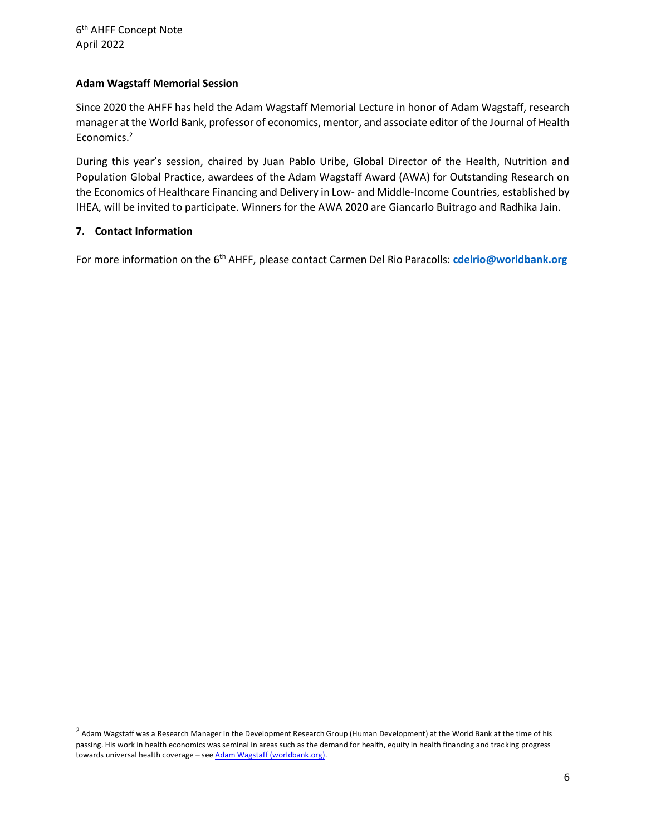#### **Adam Wagstaff Memorial Session**

Since 2020 the AHFF has held the Adam Wagstaff Memorial Lecture in honor of Adam Wagstaff, research manager at the World Bank, professor of economics, mentor, and associate editor of the Journal of Health Economics.<sup>2</sup>

During this year's session, chaired by Juan Pablo Uribe, Global Director of the Health, Nutrition and Population Global Practice, awardees of the Adam Wagstaff Award (AWA) for Outstanding Research on the Economics of Healthcare Financing and Delivery in Low- and Middle-Income Countries, established by IHEA, will be invited to participate. Winners for the AWA 2020 are Giancarlo Buitrago and Radhika Jain.

#### **7. Contact Information**

For more information on the 6th AHFF, please contact Carmen Del Rio Paracolls: **[cdelrio@worldbank.org](mailto:cdelrio@worldbank.org)**

 $^2$  Adam Wagstaff was a Research Manager in the Development Research Group (Human Development) at the World Bank at the time of his passing. His work in health economics was seminal in areas such as the demand for health, equity in health financing and tracking progress towards universal health coverage - see Adam Wagstaff (worldbank.org).